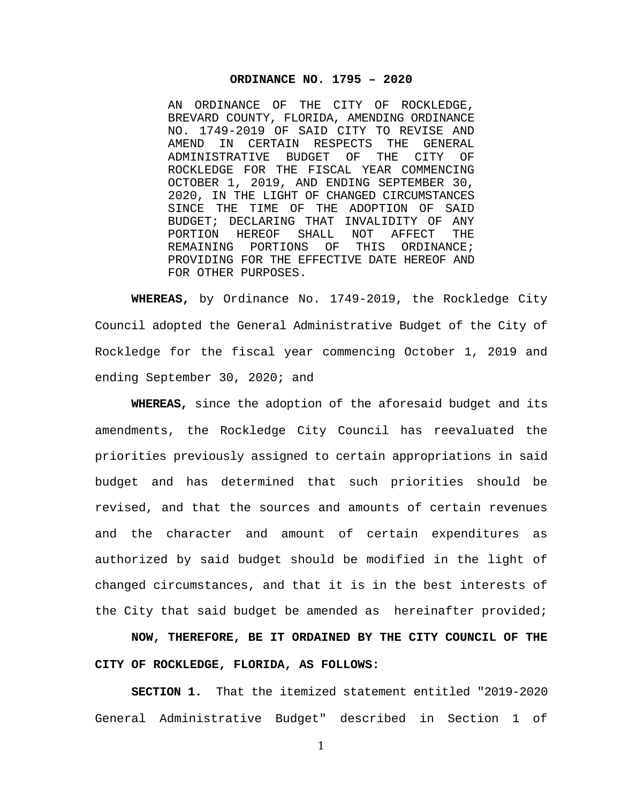#### **ORDINANCE NO. 1795 – 2020**

AN ORDINANCE OF THE CITY OF ROCKLEDGE, BREVARD COUNTY, FLORIDA, AMENDING ORDINANCE NO. 1749-2019 OF SAID CITY TO REVISE AND AMEND IN CERTAIN RESPECTS THE GENI<br>ADMINISTRATIVE BUDGET OF THE CITY ADMINISTRATIVE BUDGET OF THE CITY OF ROCKLEDGE FOR THE FISCAL YEAR COMMENCING OCTOBER 1, 2019, AND ENDING SEPTEMBER 30, 2020, IN THE LIGHT OF CHANGED CIRCUMSTANCES SINCE THE TIME OF THE ADOPTION OF SAID BUDGET; DECLARING THAT INVALIDITY OF ANY<br>PORTION HEREOF SHALL NOT AFFECT THE PORTION HEREOF SHALL NOT<br>REMAINING PORTIONS OF THIS ORDINANCE; PROVIDING FOR THE EFFECTIVE DATE HEREOF AND FOR OTHER PURPOSES.

**WHEREAS,** by Ordinance No. 1749-2019, the Rockledge City Council adopted the General Administrative Budget of the City of Rockledge for the fiscal year commencing October 1, 2019 and ending September 30, 2020; and

**WHEREAS,** since the adoption of the aforesaid budget and its amendments, the Rockledge City Council has reevaluated the priorities previously assigned to certain appropriations in said budget and has determined that such priorities should be revised, and that the sources and amounts of certain revenues and the character and amount of certain expenditures as authorized by said budget should be modified in the light of changed circumstances, and that it is in the best interests of the City that said budget be amended as hereinafter provided;

**NOW, THEREFORE, BE IT ORDAINED BY THE CITY COUNCIL OF THE CITY OF ROCKLEDGE, FLORIDA, AS FOLLOWS:**

**SECTION 1.** That the itemized statement entitled "2019-2020 General Administrative Budget" described in Section 1 of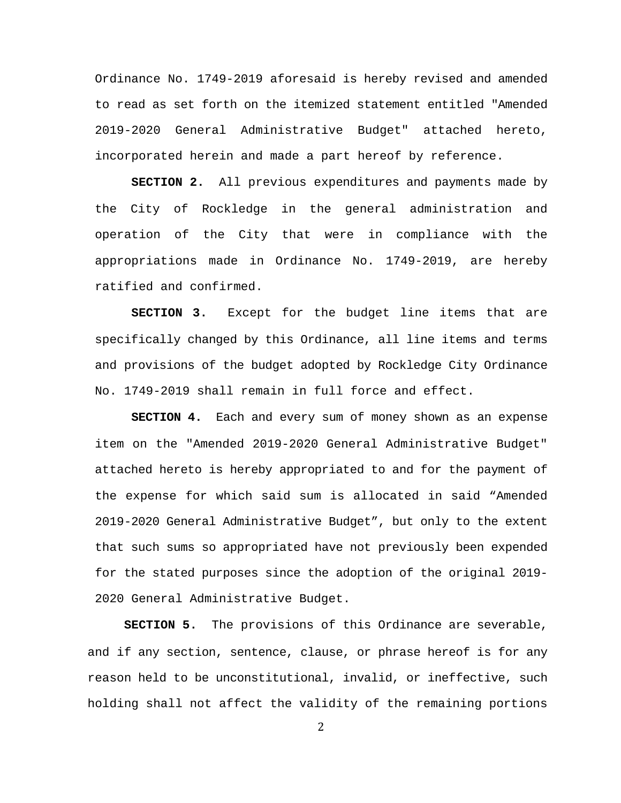Ordinance No. 1749-2019 aforesaid is hereby revised and amended to read as set forth on the itemized statement entitled "Amended 2019-2020 General Administrative Budget" attached hereto, incorporated herein and made a part hereof by reference.

**SECTION 2.** All previous expenditures and payments made by the City of Rockledge in the general administration and operation of the City that were in compliance with the appropriations made in Ordinance No. 1749-2019, are hereby ratified and confirmed.

**SECTION 3.** Except for the budget line items that are specifically changed by this Ordinance, all line items and terms and provisions of the budget adopted by Rockledge City Ordinance No. 1749-2019 shall remain in full force and effect.

**SECTION 4.** Each and every sum of money shown as an expense item on the "Amended 2019-2020 General Administrative Budget" attached hereto is hereby appropriated to and for the payment of the expense for which said sum is allocated in said "Amended 2019-2020 General Administrative Budget", but only to the extent that such sums so appropriated have not previously been expended for the stated purposes since the adoption of the original 2019- 2020 General Administrative Budget.

**SECTION 5.** The provisions of this Ordinance are severable, and if any section, sentence, clause, or phrase hereof is for any reason held to be unconstitutional, invalid, or ineffective, such holding shall not affect the validity of the remaining portions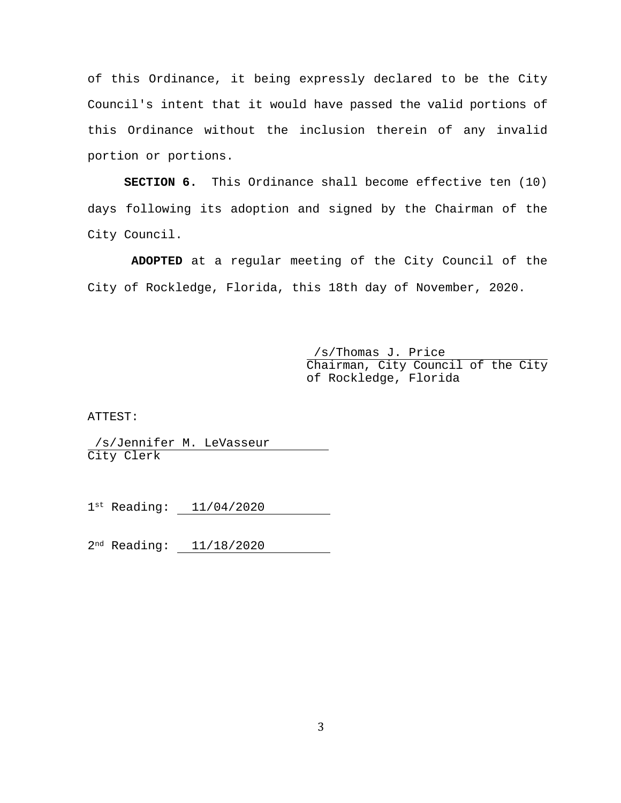of this Ordinance, it being expressly declared to be the City Council's intent that it would have passed the valid portions of this Ordinance without the inclusion therein of any invalid portion or portions.

**SECTION 6.** This Ordinance shall become effective ten (10) days following its adoption and signed by the Chairman of the City Council.

**ADOPTED** at a regular meeting of the City Council of the City of Rockledge, Florida, this 18th day of November, 2020.

> /s/Thomas J. Price Chairman, City Council of the City of Rockledge, Florida

ATTEST:

/s/Jennifer M. LeVasseur City Clerk

1st Reading: 11/04/2020

2nd Reading: 11/18/2020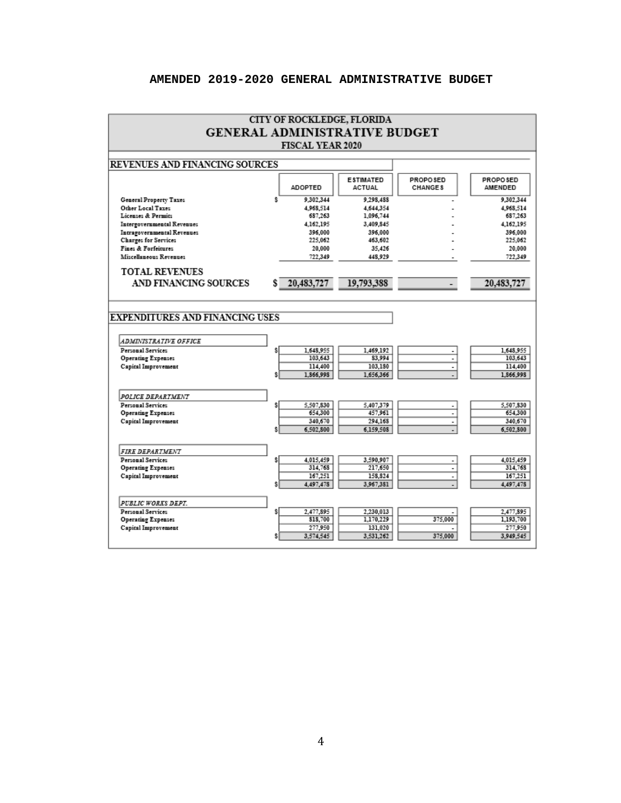### **AMENDED 2019-2020 GENERAL ADMINISTRATIVE BUDGET**

|                                                    |                                       | <b>CITY OF ROCKLEDGE, FLORIDA</b> |                      |                |                      |  |  |  |
|----------------------------------------------------|---------------------------------------|-----------------------------------|----------------------|----------------|----------------------|--|--|--|
| <b>GENERAL ADMINISTRATIVE BUDGET</b>               |                                       |                                   |                      |                |                      |  |  |  |
| <b>FISCAL YEAR 2020</b>                            |                                       |                                   |                      |                |                      |  |  |  |
|                                                    |                                       |                                   |                      |                |                      |  |  |  |
|                                                    | <b>REVENUES AND FINANCING SOURCES</b> |                                   |                      |                |                      |  |  |  |
|                                                    |                                       |                                   | <b>ESTIMATED</b>     | PROPO SED      | PROPO SED            |  |  |  |
|                                                    |                                       | <b>ADOPTED</b>                    | <b>ACTUAL</b>        | <b>CHANGES</b> | AMENDED              |  |  |  |
| General Property Taxes                             | s.                                    | 9,302,344                         | 9.298.488            |                | 9.302.344            |  |  |  |
| Other Local Taxes                                  |                                       | 4.968.514                         | 4,644,354            |                | 4.968.514            |  |  |  |
| Licenses & Permits                                 |                                       | 687,263                           | 1,096,744            |                | 687,263              |  |  |  |
| Intergovernmental Revenues                         |                                       | 4,162,195<br>396.000              | 3,409,845<br>396.000 |                | 4.162.195<br>396,000 |  |  |  |
| Intragovernmental Revenues<br>Charges for Services |                                       | 225,062                           | 463,602              |                | 225.062              |  |  |  |
| Fines & Forfeitures                                |                                       | 20.000                            | 35.426               |                | 20,000               |  |  |  |
| Miscellaneous Revenues                             |                                       | 722.349                           | 448.929              |                | 722,349              |  |  |  |
| <b>TOTAL REVENUES</b>                              |                                       |                                   |                      |                |                      |  |  |  |
|                                                    |                                       |                                   |                      |                |                      |  |  |  |
| AND FINANCING SOURCES                              |                                       | 20,483,727                        | 19,793,388           |                | 20,483,727           |  |  |  |
|                                                    |                                       |                                   |                      |                |                      |  |  |  |
|                                                    |                                       |                                   |                      |                |                      |  |  |  |
| <b>EXPENDITURES AND FINANCING USES</b>             |                                       |                                   |                      |                |                      |  |  |  |
|                                                    |                                       |                                   |                      |                |                      |  |  |  |
| ADMINISTRATIVE OFFICE                              |                                       |                                   |                      |                |                      |  |  |  |
| Personal Services                                  |                                       | 1.648.955                         | 1.469.192            |                | 1.648.955            |  |  |  |
| Operating Expenses                                 |                                       | 103.643                           | 83.994               | $\frac{1}{2}$  | 103.643              |  |  |  |
| Capital Improvement                                |                                       | 114.400                           | 103.180              | ٠              | 114,400              |  |  |  |
|                                                    |                                       | 1,866,998                         | 1,656,366            |                | 1.866.998            |  |  |  |
|                                                    |                                       |                                   |                      |                |                      |  |  |  |
| <b>POLICE DEPARTMENT</b>                           |                                       |                                   |                      |                |                      |  |  |  |
| Personal Services                                  |                                       | 5,507,830                         | 5,407,379            | ٠              | 5,507,830            |  |  |  |
| <b>Operating Expenses</b>                          |                                       | 654.300                           | 457.961              | Ξ<br>τ         | 654.300              |  |  |  |
| Capital Improvement                                | Ŝ                                     | 340,670<br>6.502,800              | 294.168<br>6.159.508 |                | 340,670<br>6.502,800 |  |  |  |
|                                                    |                                       |                                   |                      |                |                      |  |  |  |
|                                                    |                                       |                                   |                      |                |                      |  |  |  |
| <b>FIRE DEPARTMENT</b><br>Personal Services        |                                       | 4.015,459                         | 3,590,907            |                | 4.015.459            |  |  |  |
| <b>Operating Expenses</b>                          |                                       | 314,768                           | 217,650              | ٠<br>τ         | 314,768              |  |  |  |
| Capital Improvement                                |                                       | 167,251                           | 158,824              |                | 167.251              |  |  |  |
|                                                    |                                       | 4.497.478                         | 3.967.381            |                | 4,497,478            |  |  |  |
|                                                    |                                       |                                   |                      |                |                      |  |  |  |
| PUBLIC WORKS DEPT.                                 |                                       |                                   |                      |                |                      |  |  |  |
| Personal Services                                  |                                       | 2.477.895                         | 2.230,013            |                | 2,477,895            |  |  |  |
| Operating Expenses<br>Capital Improvement          |                                       | 818.700<br>277.950                | 1,170,229<br>131.020 | 375.000        | 1,193,700<br>277,950 |  |  |  |
|                                                    |                                       | 3,574,545                         | 3.531.262            | 375,000        | 3,949,545            |  |  |  |
|                                                    |                                       |                                   |                      |                |                      |  |  |  |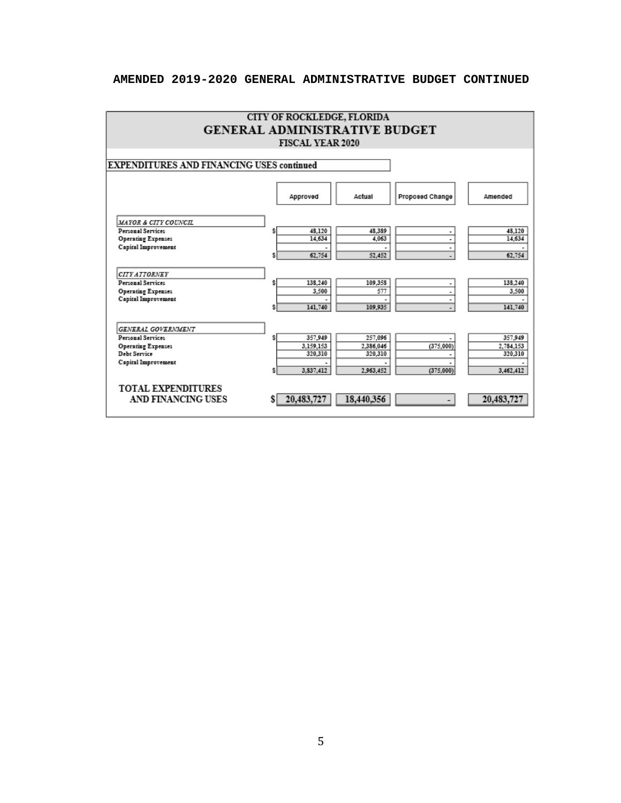# **AMENDED 2019-2020 GENERAL ADMINISTRATIVE BUDGET CONTINUED**

|                                                  | CITY OF ROCKLEDGE, FLORIDA |            |                 |            |  |  |  |  |
|--------------------------------------------------|----------------------------|------------|-----------------|------------|--|--|--|--|
| <b>GENERAL ADMINISTRATIVE BUDGET</b>             |                            |            |                 |            |  |  |  |  |
|                                                  | <b>FISCAL YEAR 2020</b>    |            |                 |            |  |  |  |  |
|                                                  |                            |            |                 |            |  |  |  |  |
| <b>EXPENDITURES AND FINANCING USES continued</b> |                            |            |                 |            |  |  |  |  |
|                                                  |                            |            |                 |            |  |  |  |  |
|                                                  | Approved                   | Actual     | Proposed Change | Amended    |  |  |  |  |
| MAYOR & CITY COUNCIL                             |                            |            |                 |            |  |  |  |  |
| <b>Personal Services</b>                         | 48,120                     | 48,389     | ٠               | 48,120     |  |  |  |  |
| <b>Operating Expenses</b><br>Capital Improvement | 14,634                     | 4.063      | ٠               | 14,634     |  |  |  |  |
|                                                  | 62.754                     | 52,452     | ۰               | 62,754     |  |  |  |  |
| <b>CITY ATTORNEY</b>                             |                            |            |                 |            |  |  |  |  |
| <b>Personal Services</b>                         | 138,240                    | 109,358    |                 | 138,240    |  |  |  |  |
| <b>Operating Expenses</b><br>Capital Improvement | 3,500                      | 577        | ٠               | 3.500      |  |  |  |  |
|                                                  | 141,740                    | 109,935    |                 | 141,740    |  |  |  |  |
| GENERAL GOVERNMENT                               |                            |            |                 |            |  |  |  |  |
| <b>Personal Services</b>                         | 357,949                    | 257,096    |                 | 357,949    |  |  |  |  |
| Operating Expenses                               | 3,159,153                  | 2,386,046  | (375,000)       | 2,784,153  |  |  |  |  |
| Debt Service<br>Capital Improvement              | 320,310                    | 320.310    |                 | 320.310    |  |  |  |  |
|                                                  | 3,837,412                  | 2,963,452  | (375,000)       | 3,462,412  |  |  |  |  |
| <b>TOTAL EXPENDITURES</b>                        |                            |            |                 |            |  |  |  |  |
| <b>AND FINANCING USES</b>                        | 20,483,727                 | 18,440,356 |                 | 20,483,727 |  |  |  |  |
|                                                  |                            |            |                 |            |  |  |  |  |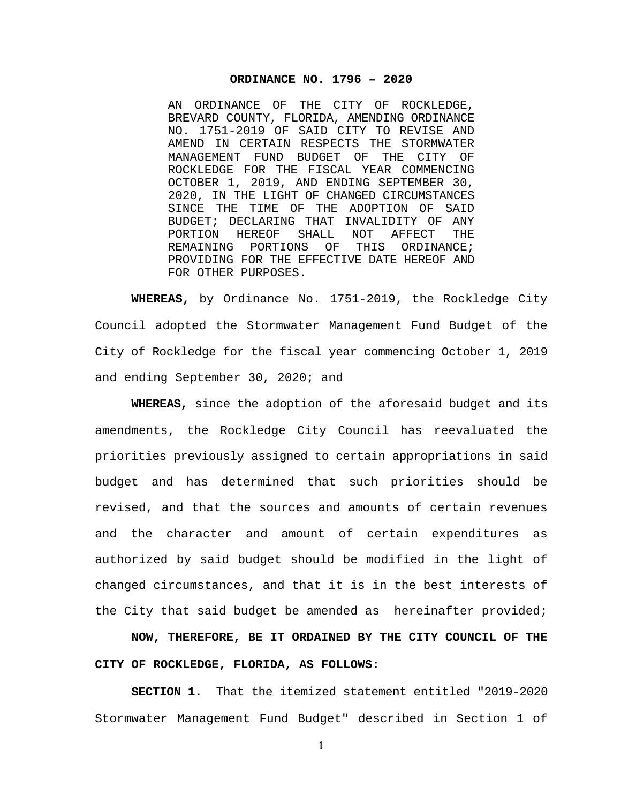#### **ORDINANCE NO. 1796 – 2020**

AN ORDINANCE OF THE CITY OF ROCKLEDGE, BREVARD COUNTY, FLORIDA, AMENDING ORDINANCE NO. 1751-2019 OF SAID CITY TO REVISE AND AMEND IN CERTAIN RESPECTS THE STORMWATER MANAGEMENT FUND BUDGET OF THE CITY OF ROCKLEDGE FOR THE FISCAL YEAR COMMENCING OCTOBER 1, 2019, AND ENDING SEPTEMBER 30, 2020, IN THE LIGHT OF CHANGED CIRCUMSTANCES SINCE THE TIME OF THE ADOPTION OF SAID BUDGET; DECLARING THAT INVALIDITY OF ANY<br>PORTION HEREOF SHALL NOT AFFECT THE PORTION HEREOF SHALL NOT<br>REMAINING PORTIONS OF THIS ORDINANCE; PROVIDING FOR THE EFFECTIVE DATE HEREOF AND FOR OTHER PURPOSES.

**WHEREAS,** by Ordinance No. 1751-2019, the Rockledge City Council adopted the Stormwater Management Fund Budget of the City of Rockledge for the fiscal year commencing October 1, 2019 and ending September 30, 2020; and

**WHEREAS,** since the adoption of the aforesaid budget and its amendments, the Rockledge City Council has reevaluated the priorities previously assigned to certain appropriations in said budget and has determined that such priorities should be revised, and that the sources and amounts of certain revenues and the character and amount of certain expenditures as authorized by said budget should be modified in the light of changed circumstances, and that it is in the best interests of the City that said budget be amended as hereinafter provided;

**NOW, THEREFORE, BE IT ORDAINED BY THE CITY COUNCIL OF THE CITY OF ROCKLEDGE, FLORIDA, AS FOLLOWS:**

**SECTION 1.** That the itemized statement entitled "2019-2020 Stormwater Management Fund Budget" described in Section 1 of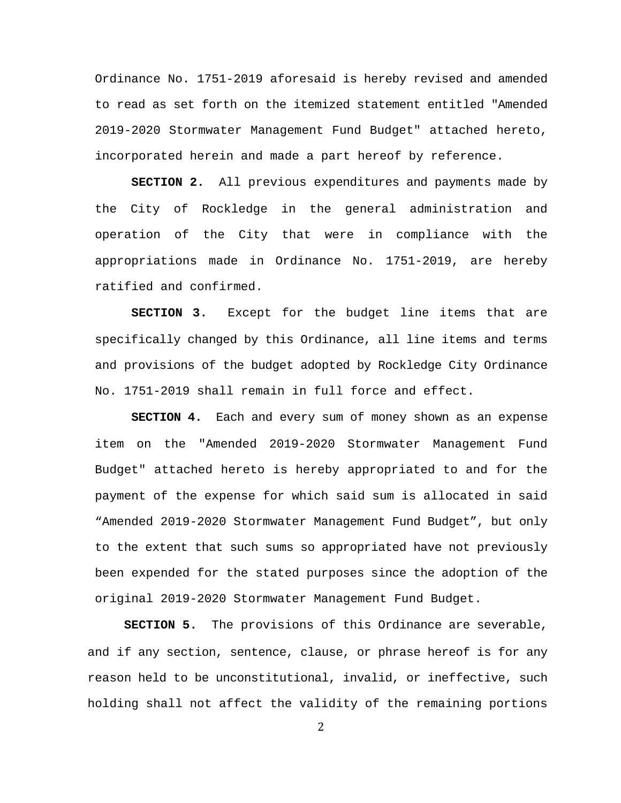Ordinance No. 1751-2019 aforesaid is hereby revised and amended to read as set forth on the itemized statement entitled "Amended 2019-2020 Stormwater Management Fund Budget" attached hereto, incorporated herein and made a part hereof by reference.

**SECTION 2.** All previous expenditures and payments made by the City of Rockledge in the general administration and operation of the City that were in compliance with the appropriations made in Ordinance No. 1751-2019, are hereby ratified and confirmed.

**SECTION 3.** Except for the budget line items that are specifically changed by this Ordinance, all line items and terms and provisions of the budget adopted by Rockledge City Ordinance No. 1751-2019 shall remain in full force and effect.

**SECTION 4.** Each and every sum of money shown as an expense item on the "Amended 2019-2020 Stormwater Management Fund Budget" attached hereto is hereby appropriated to and for the payment of the expense for which said sum is allocated in said "Amended 2019-2020 Stormwater Management Fund Budget", but only to the extent that such sums so appropriated have not previously been expended for the stated purposes since the adoption of the original 2019-2020 Stormwater Management Fund Budget.

**SECTION 5.** The provisions of this Ordinance are severable, and if any section, sentence, clause, or phrase hereof is for any reason held to be unconstitutional, invalid, or ineffective, such holding shall not affect the validity of the remaining portions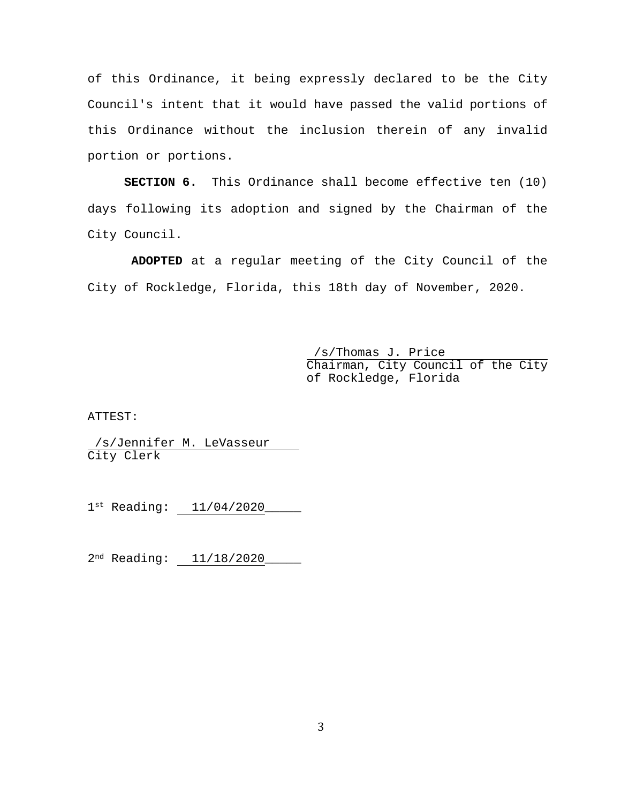of this Ordinance, it being expressly declared to be the City Council's intent that it would have passed the valid portions of this Ordinance without the inclusion therein of any invalid portion or portions.

**SECTION 6.** This Ordinance shall become effective ten (10) days following its adoption and signed by the Chairman of the City Council.

**ADOPTED** at a regular meeting of the City Council of the City of Rockledge, Florida, this 18th day of November, 2020.

> /s/Thomas J. Price Chairman, City Council of the City of Rockledge, Florida

ATTEST:

/s/Jennifer M. LeVasseur City Clerk

1st Reading: 11/04/2020

2<sup>nd</sup> Reading: 11/18/2020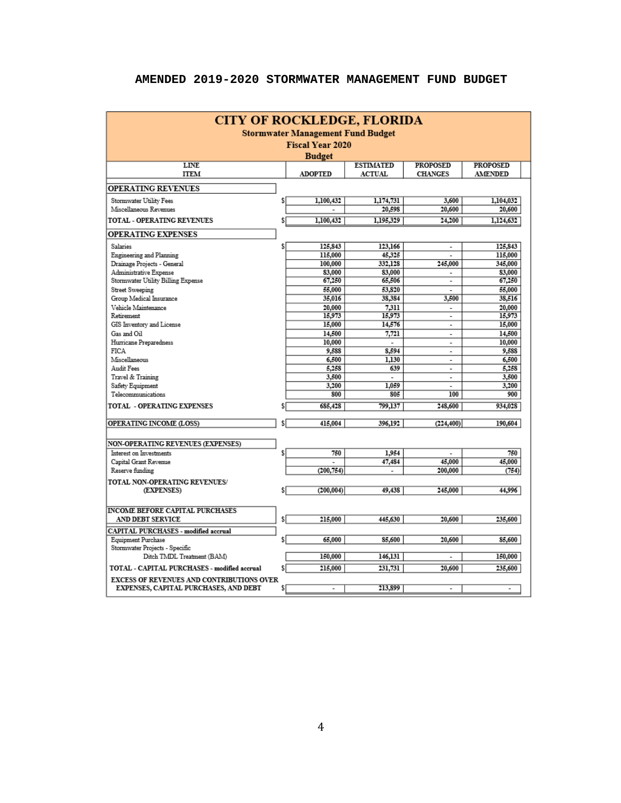| <b>CITY OF ROCKLEDGE, FLORIDA</b>            |     |                |                  |                          |                 |  |  |  |
|----------------------------------------------|-----|----------------|------------------|--------------------------|-----------------|--|--|--|
| <b>Stormwater Management Fund Budget</b>     |     |                |                  |                          |                 |  |  |  |
| <b>Fiscal Year 2020</b>                      |     |                |                  |                          |                 |  |  |  |
| <b>Budget</b>                                |     |                |                  |                          |                 |  |  |  |
| <b>LINE</b>                                  |     |                | <b>ESTIMATED</b> | <b>PROPOSED</b>          | <b>PROPOSED</b> |  |  |  |
| <b>ITEM</b>                                  |     | <b>ADOPTED</b> | <b>ACTUAL</b>    | <b>CHANGES</b>           | <b>AMENDED</b>  |  |  |  |
| <b>OPERATING REVENUES</b>                    |     |                |                  |                          |                 |  |  |  |
| Stormwater Utility Fees                      | \$  | 1,100,432      | 1,174,731        | 3,600                    | 1,104,032       |  |  |  |
| Miscellaneous Revenues                       |     |                | 20,598           | 20,600                   | 20,600          |  |  |  |
| <b>TOTAL - OPERATING REVENUES</b>            | \$  | 1.100.432      | 1,195,329        | 24,200                   | 1,124,632       |  |  |  |
| <b>OPERATING EXPENSES</b>                    |     |                |                  |                          |                 |  |  |  |
| Salaries                                     | \$  | 125,843        | 123,166          | $\overline{\phantom{a}}$ | 125,843         |  |  |  |
| <b>Engineering and Planning</b>              |     | 115,000        | 45,325           |                          | 115,000         |  |  |  |
| Drainage Projects - General                  |     | 100,000        | 332,128          | 245,000                  | 345,000         |  |  |  |
| Administrative Expense                       |     | 83,000         | 83,000           | $\overline{\phantom{a}}$ | 83,000          |  |  |  |
| Stormwater Utility Billing Expense           |     | 67,250         | 65,506           | ٠                        | 67,250          |  |  |  |
| <b>Street Sweeping</b>                       |     | 55,000         | 53,820           |                          | 55,000          |  |  |  |
| Group Medical Insurance                      |     | 35,016         | 38,384           | 3,500                    | 38,516          |  |  |  |
| Vehicle Maintenance                          |     | 20,000         | 7.311            |                          | 20,000          |  |  |  |
| Retirement                                   |     | 15.973         | 15,973           | $\overline{a}$           | 15.973          |  |  |  |
| GIS Inventory and License                    |     | 15,000         | 14,576           | $\blacksquare$           | 15,000          |  |  |  |
| Gas and Oil                                  |     | 14,500         | 7,721            | $\overline{\phantom{a}}$ | 14,500          |  |  |  |
| Hurricane Preparedness                       |     | 10,000         |                  | $\overline{a}$           | 10,000          |  |  |  |
| <b>FICA</b>                                  |     | 9,588          | 8.594            | $\overline{\phantom{a}}$ | 9,588           |  |  |  |
| Miscellaneous                                |     | 6,500          | 1.130            | $\overline{\phantom{a}}$ | 6,500           |  |  |  |
| Audit Fees                                   |     | 5,258          | 639              | $\overline{a}$           | 5,258           |  |  |  |
| Travel & Training                            |     | 3,500          | $\overline{a}$   | $\overline{\phantom{a}}$ | 3,500           |  |  |  |
| Safety Equipment                             |     | 3,200          | 1.059            |                          | 3,200           |  |  |  |
| Telecommunications                           |     | 800            | 805              | 100                      | 900             |  |  |  |
| TOTAL - OPERATING EXPENSES                   | \$  | 685,428        | 799,137          | 248,600                  | 934,028         |  |  |  |
| OPERATING INCOME (LOSS)                      | \$  | 415,004        | 396.192          | (224, 400)               | 190,604         |  |  |  |
|                                              |     |                |                  |                          |                 |  |  |  |
| <b>NON-OPERATING REVENUES (EXPENSES)</b>     |     |                |                  |                          |                 |  |  |  |
| Interest on Investments                      | \$  | 750            | 1,954            |                          | 750             |  |  |  |
| Capital Grant Revenue                        |     |                | 47,484           | 45,000                   | 45,000          |  |  |  |
| Reserve funding                              |     | (200, 754)     | L.               | 200,000                  | (754)           |  |  |  |
| TOTAL NON-OPERATING REVENUES/                |     |                |                  |                          |                 |  |  |  |
| (EXPENSES)                                   | \$I | (200, 004)     | 49,438           | 245,000                  | 44,996          |  |  |  |
|                                              |     |                |                  |                          |                 |  |  |  |
| <b>INCOME BEFORE CAPITAL PURCHASES</b>       |     |                |                  |                          |                 |  |  |  |
| AND DEBT SERVICE                             | \$I | 215,000        | 445,630          | 20,600                   | 235,600         |  |  |  |
| <b>CAPITAL PURCHASES - modified accrual</b>  |     |                |                  |                          |                 |  |  |  |
| Equipment Purchase                           | \$  | 65,000         | 85,600           | 20,600                   | 85,600          |  |  |  |
| Stormwater Projects - Specific               |     |                |                  |                          |                 |  |  |  |
| Ditch TMDL Treatment (BAM)                   |     | 150,000        | 146,131          |                          | 150,000         |  |  |  |
|                                              |     |                |                  |                          |                 |  |  |  |
| TOTAL - CAPITAL PURCHASES - modified accrual | \$l | 215,000        | 231,731          | 20,600                   | 235,600         |  |  |  |
| EXCESS OF REVENUES AND CONTRIBUTIONS OVER    |     |                |                  |                          |                 |  |  |  |
| EXPENSES, CAPITAL PURCHASES, AND DEBT        | \$I |                | 213,899          |                          | ٠               |  |  |  |

### **AMENDED 2019-2020 STORMWATER MANAGEMENT FUND BUDGET**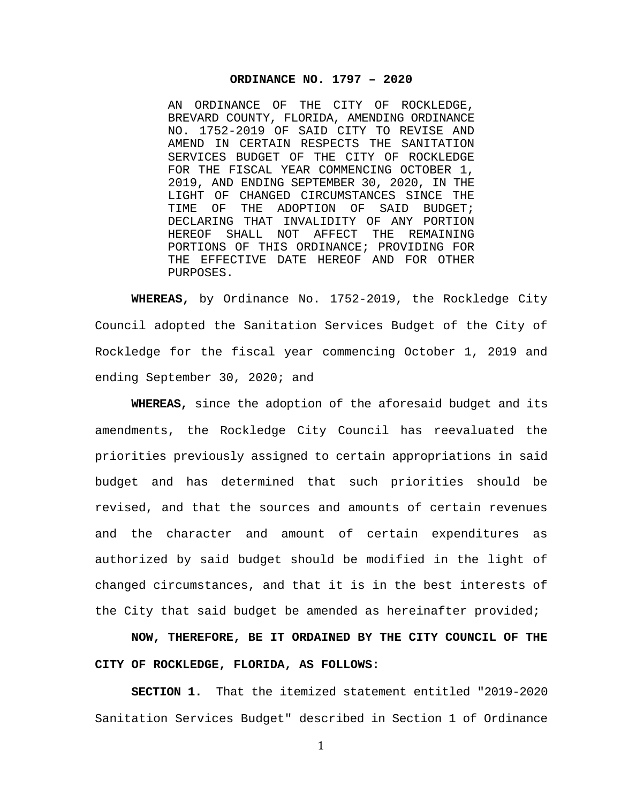#### **ORDINANCE NO. 1797 – 2020**

AN ORDINANCE OF THE CITY OF ROCKLEDGE, BREVARD COUNTY, FLORIDA, AMENDING ORDINANCE NO. 1752-2019 OF SAID CITY TO REVISE AND AMEND IN CERTAIN RESPECTS THE SANITATION SERVICES BUDGET OF THE CITY OF ROCKLEDGE FOR THE FISCAL YEAR COMMENCING OCTOBER 1, 2019, AND ENDING SEPTEMBER 30, 2020, IN THE LIGHT OF CHANGED CIRCUMSTANCES SINCE THE<br>TIME OF THE ADOPTION OF SAID BUDGET; THE ADOPTION OF DECLARING THAT INVALIDITY OF ANY PORTION<br>HEREOF SHALL NOT AFFECT THE REMAINING HEREOF SHALL NOT AFFECT PORTIONS OF THIS ORDINANCE; PROVIDING FOR THE EFFECTIVE DATE HEREOF AND FOR OTHER PURPOSES.

**WHEREAS,** by Ordinance No. 1752-2019, the Rockledge City Council adopted the Sanitation Services Budget of the City of Rockledge for the fiscal year commencing October 1, 2019 and ending September 30, 2020; and

**WHEREAS,** since the adoption of the aforesaid budget and its amendments, the Rockledge City Council has reevaluated the priorities previously assigned to certain appropriations in said budget and has determined that such priorities should be revised, and that the sources and amounts of certain revenues and the character and amount of certain expenditures as authorized by said budget should be modified in the light of changed circumstances, and that it is in the best interests of the City that said budget be amended as hereinafter provided;

**NOW, THEREFORE, BE IT ORDAINED BY THE CITY COUNCIL OF THE CITY OF ROCKLEDGE, FLORIDA, AS FOLLOWS:**

**SECTION 1.** That the itemized statement entitled "2019-2020 Sanitation Services Budget" described in Section 1 of Ordinance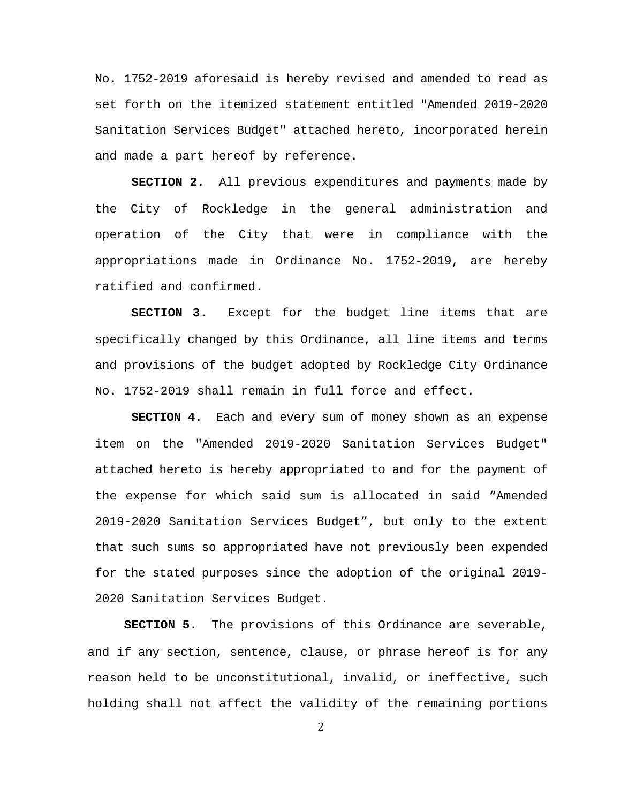No. 1752-2019 aforesaid is hereby revised and amended to read as set forth on the itemized statement entitled "Amended 2019-2020 Sanitation Services Budget" attached hereto, incorporated herein and made a part hereof by reference.

**SECTION 2.** All previous expenditures and payments made by the City of Rockledge in the general administration and operation of the City that were in compliance with the appropriations made in Ordinance No. 1752-2019, are hereby ratified and confirmed.

**SECTION 3.** Except for the budget line items that are specifically changed by this Ordinance, all line items and terms and provisions of the budget adopted by Rockledge City Ordinance No. 1752-2019 shall remain in full force and effect.

**SECTION 4.** Each and every sum of money shown as an expense item on the "Amended 2019-2020 Sanitation Services Budget" attached hereto is hereby appropriated to and for the payment of the expense for which said sum is allocated in said "Amended 2019-2020 Sanitation Services Budget", but only to the extent that such sums so appropriated have not previously been expended for the stated purposes since the adoption of the original 2019- 2020 Sanitation Services Budget.

**SECTION 5.** The provisions of this Ordinance are severable, and if any section, sentence, clause, or phrase hereof is for any reason held to be unconstitutional, invalid, or ineffective, such holding shall not affect the validity of the remaining portions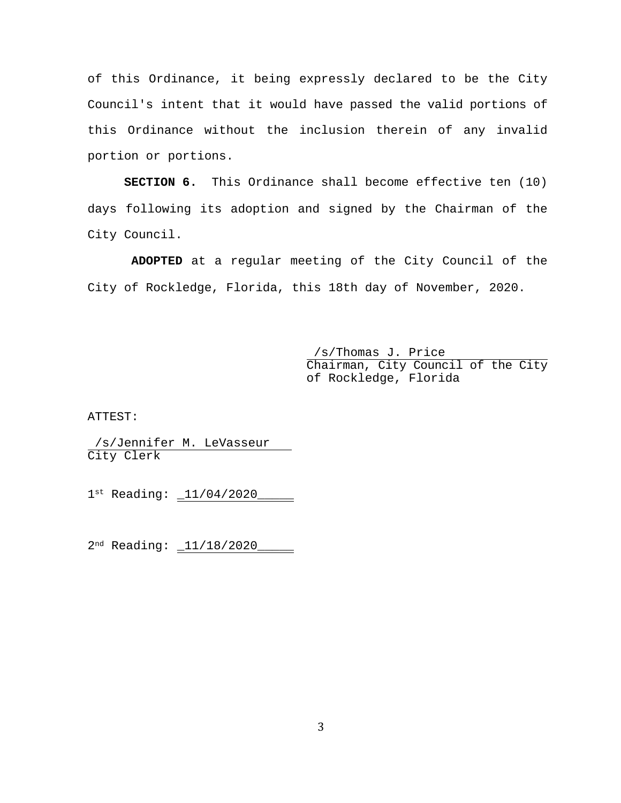of this Ordinance, it being expressly declared to be the City Council's intent that it would have passed the valid portions of this Ordinance without the inclusion therein of any invalid portion or portions.

**SECTION 6.** This Ordinance shall become effective ten (10) days following its adoption and signed by the Chairman of the City Council.

**ADOPTED** at a regular meeting of the City Council of the City of Rockledge, Florida, this 18th day of November, 2020.

> /s/Thomas J. Price Chairman, City Council of the City of Rockledge, Florida

ATTEST:

/s/Jennifer M. LeVasseur City Clerk

1st Reading: \_11/04/2020\_\_\_\_\_

2<sup>nd</sup> Reading: \_11/18/2020\_\_\_\_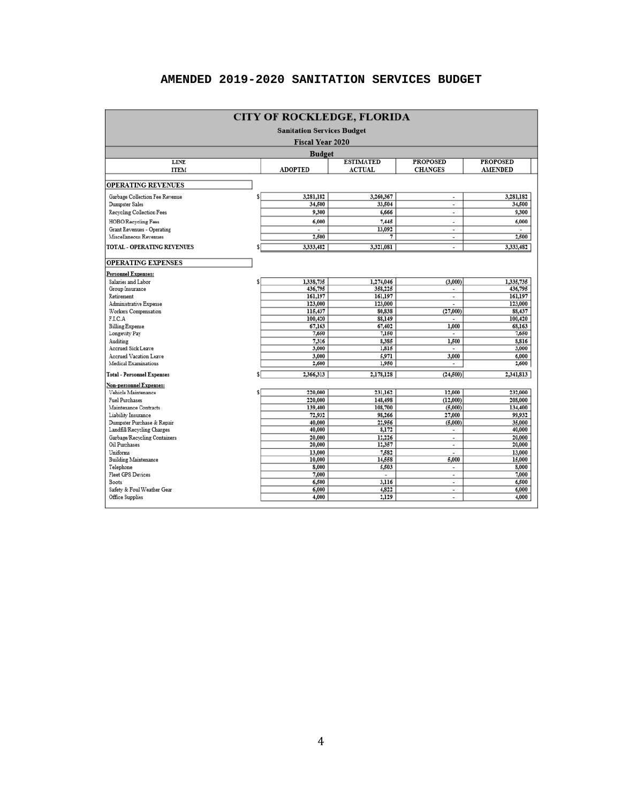## **AMENDED 2019-2020 SANITATION SERVICES BUDGET**

| <b>CITY OF ROCKLEDGE, FLORIDA</b>     |   |                          |                                   |                                   |                                   |  |  |  |  |  |
|---------------------------------------|---|--------------------------|-----------------------------------|-----------------------------------|-----------------------------------|--|--|--|--|--|
| <b>Sanitation Services Budget</b>     |   |                          |                                   |                                   |                                   |  |  |  |  |  |
| <b>Fiscal Year 2020</b>               |   |                          |                                   |                                   |                                   |  |  |  |  |  |
| <b>Budget</b>                         |   |                          |                                   |                                   |                                   |  |  |  |  |  |
| <b>LINE</b><br><b>ITEM</b>            |   | <b>ADOPTED</b>           | <b>ESTIMATED</b><br><b>ACTUAL</b> | <b>PROPOSED</b><br><b>CHANGES</b> | <b>PROPOSED</b><br><b>AMENDED</b> |  |  |  |  |  |
|                                       |   |                          |                                   |                                   |                                   |  |  |  |  |  |
| <b>OPERATING REVENUES</b>             |   |                          |                                   |                                   |                                   |  |  |  |  |  |
| Garbage Collection Fee Revenue        | s | 3,281,182                | 3,260,367                         | $\overline{\phantom{a}}$          | 3,281,182                         |  |  |  |  |  |
| Dumpster Sales                        |   | 34,500                   | 33,504                            | $\overline{a}$                    | 34,500                            |  |  |  |  |  |
| Recycling Collection Fees             |   | 9,300                    | 6,666                             | $\overline{\phantom{a}}$          | 9,300                             |  |  |  |  |  |
| <b>HOBO/Recycling Fees</b>            |   | 6,000                    | 7,445                             | ٠                                 | 6,000                             |  |  |  |  |  |
| Grant Revenues - Operating            |   | $\overline{\phantom{a}}$ | 13,092                            | $\blacksquare$                    |                                   |  |  |  |  |  |
| Miscellaneous Revenues                |   | 2,500                    | 7                                 | $\blacksquare$                    | 2,500                             |  |  |  |  |  |
| <b>TOTAL - OPERATING REVENUES</b>     | s | 3,333,482                | 3,321,081                         | $\blacksquare$                    | 3,333,482                         |  |  |  |  |  |
| <b>OPERATING EXPENSES</b>             |   |                          |                                   |                                   |                                   |  |  |  |  |  |
| Personnel Expenses:                   |   |                          |                                   |                                   |                                   |  |  |  |  |  |
| Salaries and Labor                    |   | 1,338,735                | 1,274,046                         | (3,000)                           | 1,335,735                         |  |  |  |  |  |
| Group Insurance                       |   | 436,795                  | 358,225                           | $\blacksquare$                    | 436,795                           |  |  |  |  |  |
| Retirement                            |   | 161,197                  | 161,197                           |                                   | 161,197                           |  |  |  |  |  |
| Administrative Expense                |   | 123,000                  | 123,000                           |                                   | 123,000                           |  |  |  |  |  |
| Workers Compensation                  |   | 115,437                  | 80,838                            | (27,000)                          | 88,437                            |  |  |  |  |  |
| F.I.C.A                               |   | 100,420                  | 88,149                            | ٠                                 | 100,420                           |  |  |  |  |  |
| <b>Billing Expense</b>                |   | 67,163                   | 67,402                            | 1,000                             | 68,163                            |  |  |  |  |  |
| Longevity Pay                         |   | 7,650                    | 7,150                             | ٠                                 | 7,650                             |  |  |  |  |  |
| Auditing                              |   | 7,316                    | 8,385                             | 1,500                             | 8,816                             |  |  |  |  |  |
| Accrued Sick Leave                    |   | 3,000                    | 1,815                             | $\overline{\phantom{a}}$          | 3,000                             |  |  |  |  |  |
| <b>Accrued Vacation Leave</b>         |   | 3,000                    | 5,971                             | 3,000                             | 6,000                             |  |  |  |  |  |
| Medical Examinations                  |   | 2,600                    | 1,950                             | $\blacksquare$                    | 2,600                             |  |  |  |  |  |
| Total - Personnel Expenses            |   | 2,366,313                | 2,178,128                         | (24, 500)                         | 2,341,813                         |  |  |  |  |  |
| Non-personnel Expenses:               |   |                          |                                   |                                   |                                   |  |  |  |  |  |
| Vehicle Maintenance                   |   | 220,000                  | 231,162                           | 12,000                            | 232,000                           |  |  |  |  |  |
| <b>Fuel Purchases</b>                 |   | 220,000                  | 148,498                           | (12,000)                          | 208,000                           |  |  |  |  |  |
| Maintenance Contracts                 |   | 139,400                  | 108,700                           | (5,000)                           | 134,400                           |  |  |  |  |  |
| Liability Insurance                   |   | 72,932                   | 98,266                            | 27,000                            | 99,932                            |  |  |  |  |  |
| Dumpster Purchase & Repair            |   | 40,000                   | 22,956                            | (5,000)                           | 35,000                            |  |  |  |  |  |
| Landfill/Recycling Charges            |   | 40,000                   | 8,172                             | ٠                                 | 40,000                            |  |  |  |  |  |
| Garbage/Recycling Containers          |   | 20,000                   | 12,226                            | $\overline{\phantom{a}}$          | 20,000                            |  |  |  |  |  |
| Oil Purchases                         |   | 20,000                   | 12,357                            | $\overline{\phantom{a}}$          | 20,000                            |  |  |  |  |  |
| Uniforms                              |   | 13,000                   | 7,582                             |                                   | 13,000                            |  |  |  |  |  |
| <b>Building Maintenance</b>           |   | 10,000                   | 14,558                            | 5,000                             | 15,000<br>8,000                   |  |  |  |  |  |
| Telephone<br><b>Fleet GPS Devices</b> |   | 8,000<br>7,000           | 5,503                             | ٠                                 | 7,000                             |  |  |  |  |  |
| Boots                                 |   | 6,500                    | $\overline{\phantom{a}}$<br>3,116 | $\overline{a}$<br>$\overline{a}$  | 6,500                             |  |  |  |  |  |
| Safety & Foul Weather Gear            |   | 6,000                    | 4,822                             | $\overline{\phantom{a}}$          | 6,000                             |  |  |  |  |  |
| Office Supplies                       |   | 4,000                    | 2,129                             | ä,                                | 4,000                             |  |  |  |  |  |
|                                       |   |                          |                                   |                                   |                                   |  |  |  |  |  |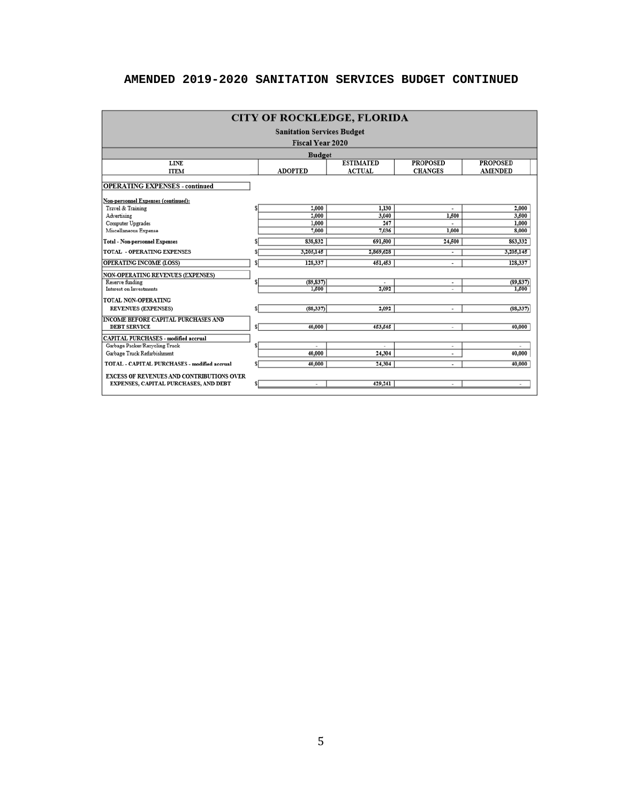## **AMENDED 2019-2020 SANITATION SERVICES BUDGET CONTINUED**

| <b>CITY OF ROCKLEDGE, FLORIDA</b>                                                  |         |                 |                          |                |                |  |  |  |  |
|------------------------------------------------------------------------------------|---------|-----------------|--------------------------|----------------|----------------|--|--|--|--|
| <b>Sanitation Services Budget</b>                                                  |         |                 |                          |                |                |  |  |  |  |
| <b>Fiscal Year 2020</b>                                                            |         |                 |                          |                |                |  |  |  |  |
| <b>Budget</b>                                                                      |         |                 |                          |                |                |  |  |  |  |
| <b>LINE</b>                                                                        |         | <b>PROPOSED</b> |                          |                |                |  |  |  |  |
| <b>ADOPTED</b><br><b>ACTUAL</b><br><b>AMENDED</b><br><b>CHANGES</b><br><b>ITEM</b> |         |                 |                          |                |                |  |  |  |  |
| <b>OPERATING EXPENSES - continued</b>                                              |         |                 |                          |                |                |  |  |  |  |
| Non-personnel Expenses (continued):                                                |         |                 |                          |                |                |  |  |  |  |
| Travel & Training                                                                  |         | 2,000           | 1,130                    | ×.             | 2,000          |  |  |  |  |
| Advertising<br>Computer Upgrades                                                   |         | 2,000<br>1,000  | 3,040<br>247             | 1,500<br>×.    | 3,500<br>1.000 |  |  |  |  |
| Miscellaneous Expense                                                              |         | 7,000           | 7.036                    | 1,000          | 8,000          |  |  |  |  |
| <b>Total - Non-personnel Expenses</b>                                              | s       | 838,832         | 691.500                  | 24,500         | 863,332        |  |  |  |  |
|                                                                                    |         |                 |                          |                |                |  |  |  |  |
| <b>TOTAL - OPERATING EXPENSES</b>                                                  | \$      | 3,205,145       | 2,869,628                | ٠              | 3,205,145      |  |  |  |  |
| <b>OPERATING INCOME (LOSS)</b>                                                     | \$      | 128,337         | 451,453                  | ٠              | 128,337        |  |  |  |  |
| <b>NON-OPERATING REVENUES (EXPENSES)</b>                                           |         |                 |                          |                |                |  |  |  |  |
| Reserve funding                                                                    | \$      | (89, 837)       |                          | ۰              | (89, 837)      |  |  |  |  |
| Interest on Investments                                                            |         | 1.500           | 2,092                    |                | 1,500          |  |  |  |  |
| TOTAL NON-OPERATING                                                                |         |                 |                          |                |                |  |  |  |  |
| <b>REVENUES (EXPENSES)</b>                                                         | \$      | (88,337)        | 2,092                    | ÷.             | (88, 337)      |  |  |  |  |
| <b>INCOME BEFORE CAPITAL PURCHASES AND</b>                                         |         |                 |                          |                |                |  |  |  |  |
| <b>DEBT SERVICE</b>                                                                | $\vert$ | 40,000          | 453,545                  | ٠              | 40,000         |  |  |  |  |
| <b>CAPITAL PURCHASES - modified accrual</b>                                        |         |                 |                          |                |                |  |  |  |  |
| Garbage Packer/Recycling Truck                                                     | Ŝ       | ٠               | $\overline{\phantom{a}}$ | ۰              | ٠              |  |  |  |  |
| Garbage Truck Refurbishment                                                        |         | 40,000          | 24,304                   | ٠              | 40,000         |  |  |  |  |
| TOTAL - CAPITAL PURCHASES - modified accrual                                       | \$      | 40,000          | 24,304                   | ٠              | 40,000         |  |  |  |  |
| <b>EXCESS OF REVENUES AND CONTRIBUTIONS OVER</b>                                   |         |                 |                          |                |                |  |  |  |  |
| EXPENSES, CAPITAL PURCHASES, AND DEBT                                              | s       |                 | 429,241                  | $\overline{a}$ |                |  |  |  |  |
|                                                                                    |         |                 |                          |                |                |  |  |  |  |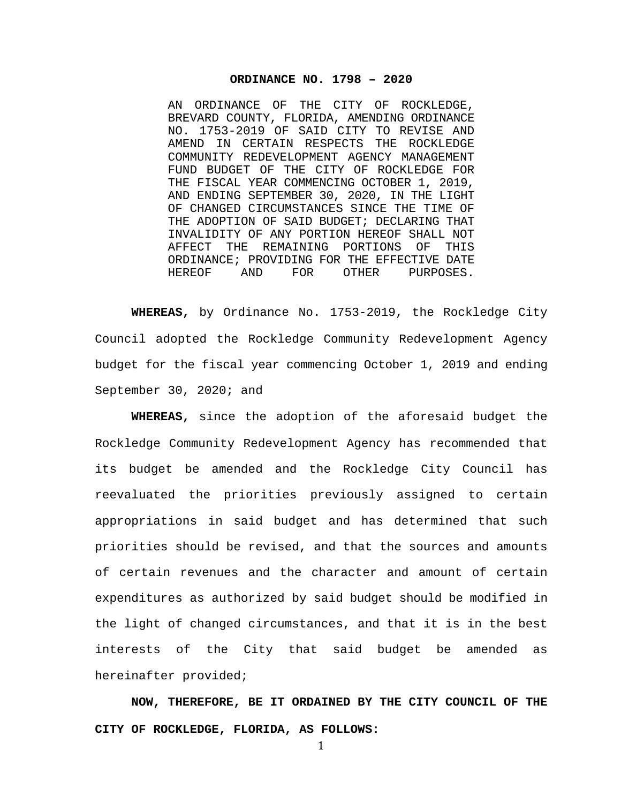#### **ORDINANCE NO. 1798 – 2020**

AN ORDINANCE OF THE CITY OF ROCKLEDGE, BREVARD COUNTY, FLORIDA, AMENDING ORDINANCE NO. 1753-2019 OF SAID CITY TO REVISE AND AMEND IN CERTAIN RESPECTS THE ROCKLEDGE COMMUNITY REDEVELOPMENT AGENCY MANAGEMENT FUND BUDGET OF THE CITY OF ROCKLEDGE FOR THE FISCAL YEAR COMMENCING OCTOBER 1, 2019, AND ENDING SEPTEMBER 30, 2020, IN THE LIGHT OF CHANGED CIRCUMSTANCES SINCE THE TIME OF THE ADOPTION OF SAID BUDGET; DECLARING THAT INVALIDITY OF ANY PORTION HEREOF SHALL NOT THE REMAINING PORTIONS OF THIS ORDINANCE; PROVIDING FOR THE EFFECTIVE DATE<br>HEREOF AND FOR OTHER PURPOSES. PURPOSES.

**WHEREAS,** by Ordinance No. 1753-2019, the Rockledge City Council adopted the Rockledge Community Redevelopment Agency budget for the fiscal year commencing October 1, 2019 and ending September 30, 2020; and

**WHEREAS,** since the adoption of the aforesaid budget the Rockledge Community Redevelopment Agency has recommended that its budget be amended and the Rockledge City Council has reevaluated the priorities previously assigned to certain appropriations in said budget and has determined that such priorities should be revised, and that the sources and amounts of certain revenues and the character and amount of certain expenditures as authorized by said budget should be modified in the light of changed circumstances, and that it is in the best interests of the City that said budget be amended as hereinafter provided;

**NOW, THEREFORE, BE IT ORDAINED BY THE CITY COUNCIL OF THE CITY OF ROCKLEDGE, FLORIDA, AS FOLLOWS:**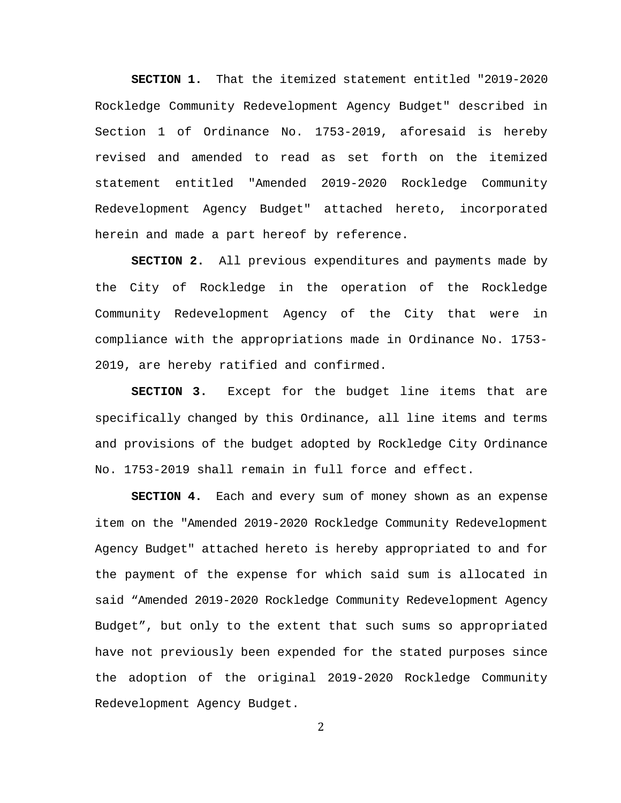**SECTION 1.** That the itemized statement entitled "2019-2020 Rockledge Community Redevelopment Agency Budget" described in Section 1 of Ordinance No. 1753-2019, aforesaid is hereby revised and amended to read as set forth on the itemized statement entitled "Amended 2019-2020 Rockledge Community Redevelopment Agency Budget" attached hereto, incorporated herein and made a part hereof by reference.

**SECTION 2.** All previous expenditures and payments made by the City of Rockledge in the operation of the Rockledge Community Redevelopment Agency of the City that were in compliance with the appropriations made in Ordinance No. 1753- 2019, are hereby ratified and confirmed.

**SECTION 3.** Except for the budget line items that are specifically changed by this Ordinance, all line items and terms and provisions of the budget adopted by Rockledge City Ordinance No. 1753-2019 shall remain in full force and effect.

**SECTION 4.** Each and every sum of money shown as an expense item on the "Amended 2019-2020 Rockledge Community Redevelopment Agency Budget" attached hereto is hereby appropriated to and for the payment of the expense for which said sum is allocated in said "Amended 2019-2020 Rockledge Community Redevelopment Agency Budget", but only to the extent that such sums so appropriated have not previously been expended for the stated purposes since the adoption of the original 2019-2020 Rockledge Community Redevelopment Agency Budget.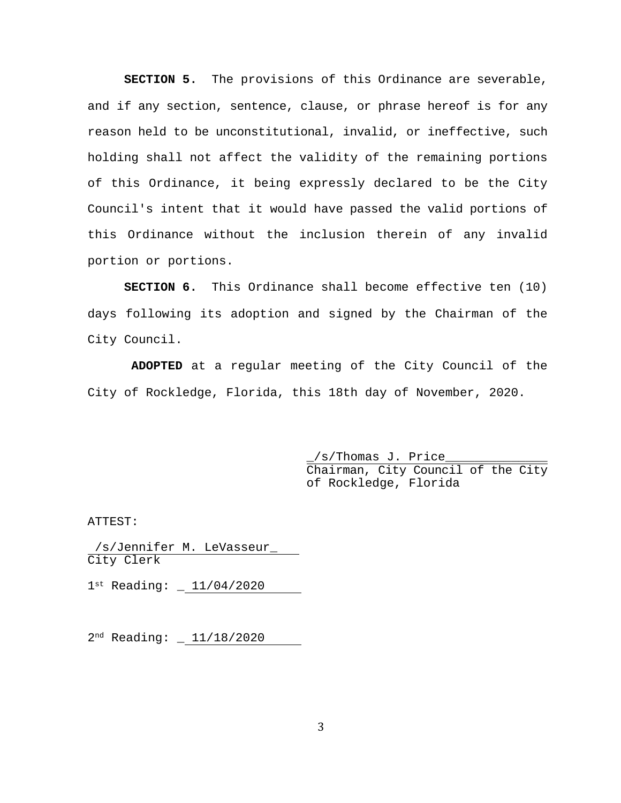**SECTION 5.** The provisions of this Ordinance are severable, and if any section, sentence, clause, or phrase hereof is for any reason held to be unconstitutional, invalid, or ineffective, such holding shall not affect the validity of the remaining portions of this Ordinance, it being expressly declared to be the City Council's intent that it would have passed the valid portions of this Ordinance without the inclusion therein of any invalid portion or portions.

**SECTION 6.** This Ordinance shall become effective ten (10) days following its adoption and signed by the Chairman of the City Council.

**ADOPTED** at a regular meeting of the City Council of the City of Rockledge, Florida, this 18th day of November, 2020.

> \_/s/Thomas J. Price\_\_\_\_\_\_\_\_\_\_\_\_\_\_ Chairman, City Council of the City of Rockledge, Florida

ATTEST:

/s/Jennifer M. LeVasseur\_ City Clerk

 $1^{st}$  Reading:  $-11/04/2020$ 

2nd Reading: \_ 11/18/2020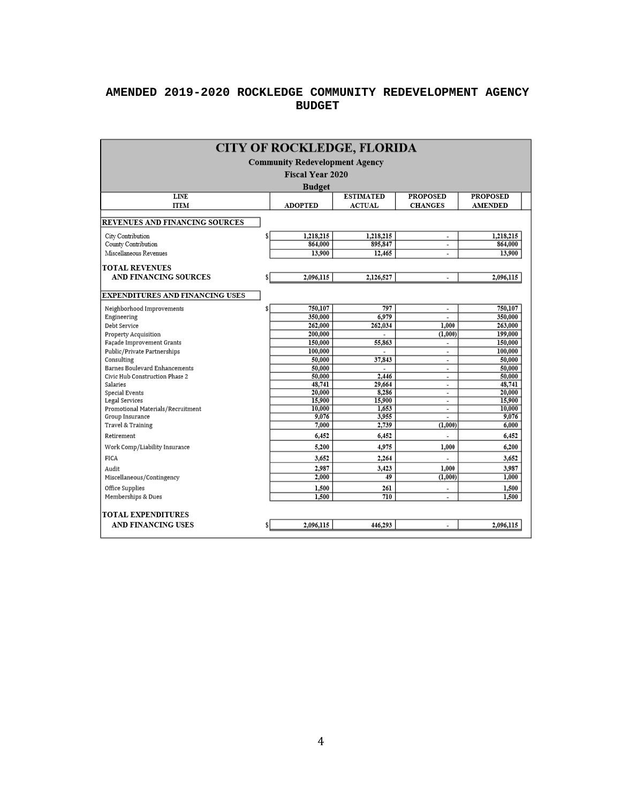## **AMENDED 2019-2020 ROCKLEDGE COMMUNITY REDEVELOPMENT AGENCY BUDGET**

| <b>CITY OF ROCKLEDGE, FLORIDA</b>                                                      |    |                         |                 |                          |                  |  |  |  |  |
|----------------------------------------------------------------------------------------|----|-------------------------|-----------------|--------------------------|------------------|--|--|--|--|
| <b>Community Redevelopment Agency</b>                                                  |    |                         |                 |                          |                  |  |  |  |  |
|                                                                                        |    | <b>Fiscal Year 2020</b> |                 |                          |                  |  |  |  |  |
|                                                                                        |    |                         |                 |                          |                  |  |  |  |  |
| <b>Budget</b><br><b>LINE</b><br><b>ESTIMATED</b><br><b>PROPOSED</b><br><b>PROPOSED</b> |    |                         |                 |                          |                  |  |  |  |  |
|                                                                                        |    |                         |                 |                          |                  |  |  |  |  |
| <b>ACTUAL</b><br><b>ITEM</b><br><b>ADOPTED</b><br><b>CHANGES</b><br><b>AMENDED</b>     |    |                         |                 |                          |                  |  |  |  |  |
| REVENUES AND FINANCING SOURCES                                                         |    |                         |                 |                          |                  |  |  |  |  |
| City Contribution                                                                      |    | 1,218,215               | 1,218,215       | $\overline{a}$           | 1.218.215        |  |  |  |  |
| County Contribution                                                                    |    | 864,000                 | 895,847         | $\overline{a}$           | 864,000          |  |  |  |  |
| Miscellaneous Revenues                                                                 |    | 13,900                  | 12,465          | $\overline{\phantom{a}}$ | 13,900           |  |  |  |  |
| <b>TOTAL REVENUES</b>                                                                  |    |                         |                 |                          |                  |  |  |  |  |
| <b>AND FINANCING SOURCES</b>                                                           |    | 2,096,115               | 2,126,527       | Ĭ.                       | 2,096,115        |  |  |  |  |
| <b>EXPENDITURES AND FINANCING USES</b>                                                 |    |                         |                 |                          |                  |  |  |  |  |
| Neighborhood Improvements                                                              | \$ | 750,107                 | 797             | $\overline{a}$           | 750,107          |  |  |  |  |
| Engineering                                                                            |    | 350,000                 | 6,979           |                          | 350,000          |  |  |  |  |
| Debt Service                                                                           |    | 262,000                 | 262,034         | 1,000                    | 263,000          |  |  |  |  |
| Property Acquisition                                                                   |    | 200,000                 |                 | (1,000)                  | 199,000          |  |  |  |  |
| Façade Improvement Grants                                                              |    | 150,000                 | 55,863          | $\overline{a}$           | 150,000          |  |  |  |  |
| Public/Private Partnerships                                                            |    | 100,000                 |                 | $\overline{\phantom{a}}$ | 100,000          |  |  |  |  |
| Consulting                                                                             |    | 50,000                  | 37,843          | $\blacksquare$           | 50,000           |  |  |  |  |
| <b>Barnes Boulevard Enhancements</b>                                                   |    | 50,000                  |                 | $\overline{\phantom{a}}$ | 50,000           |  |  |  |  |
| Civic Hub Construction Phase 2                                                         |    | 50,000                  | 2,446           | $\overline{\phantom{a}}$ | 50,000           |  |  |  |  |
| Salaries                                                                               |    | 48,741                  | 29,664          | ۰                        | 48,741           |  |  |  |  |
| Special Events                                                                         |    | 20,000                  | 8,286           | ۰                        | 20,000           |  |  |  |  |
| Legal Services<br>Promotional Materials/Recruitment                                    |    | 15,900<br>10,000        | 15,900<br>1,653 | ۰                        | 15,900<br>10,000 |  |  |  |  |
| Group Insurance                                                                        |    | 9,076                   | 3,955           | ٠                        | 9,076            |  |  |  |  |
| Travel & Training                                                                      |    | 7,000                   | 2,739           | (1,000)                  | 6,000            |  |  |  |  |
| Retirement                                                                             |    | 6,452                   | 6,452           |                          | 6,452            |  |  |  |  |
| Work Comp/Liability Insurance                                                          |    | 5,200                   | 4,975           | 1,000                    | 6,200            |  |  |  |  |
| <b>FICA</b>                                                                            |    | 3.652                   | 2,264           |                          | 3.652            |  |  |  |  |
| Audit                                                                                  |    | 2,987                   | 3,423           | 1.000                    | 3,987            |  |  |  |  |
| Miscellaneous/Contingency                                                              |    | 2,000                   | $\overline{49}$ | (1,000)                  | 1,000            |  |  |  |  |
| Office Supplies                                                                        |    | 1,500                   | 261             | $\overline{a}$           | 1,500            |  |  |  |  |
| Memberships & Dues                                                                     |    | 1,500                   | 710             | $\overline{a}$           | 1,500            |  |  |  |  |
| <b>TOTAL EXPENDITURES</b>                                                              |    |                         |                 |                          |                  |  |  |  |  |
| <b>AND FINANCING USES</b>                                                              |    | 2,096,115               | 446,293         |                          | 2,096,115        |  |  |  |  |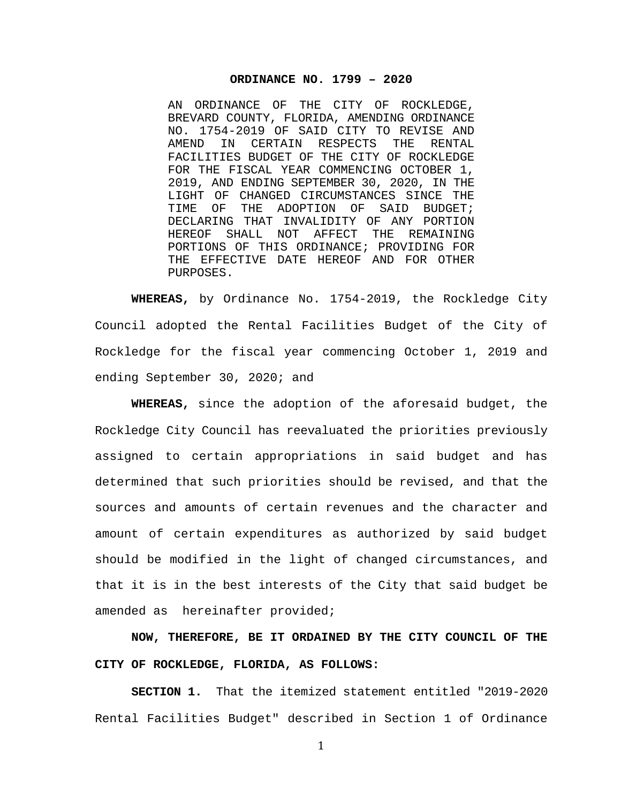#### **ORDINANCE NO. 1799 – 2020**

AN ORDINANCE OF THE CITY OF ROCKLEDGE, BREVARD COUNTY, FLORIDA, AMENDING ORDINANCE NO. 1754-2019 OF SAID CITY TO REVISE AND IN CERTAIN FACILITIES BUDGET OF THE CITY OF ROCKLEDGE FOR THE FISCAL YEAR COMMENCING OCTOBER 1, 2019, AND ENDING SEPTEMBER 30, 2020, IN THE LIGHT OF CHANGED CIRCUMSTANCES SINCE THE<br>TIME OF THE ADOPTION OF SAID BUDGET; THE ADOPTION OF DECLARING THAT INVALIDITY OF ANY PORTION<br>HEREOF SHALL NOT AFFECT THE REMAINING HEREOF SHALL NOT AFFECT PORTIONS OF THIS ORDINANCE; PROVIDING FOR THE EFFECTIVE DATE HEREOF AND FOR OTHER PURPOSES.

**WHEREAS,** by Ordinance No. 1754-2019, the Rockledge City Council adopted the Rental Facilities Budget of the City of Rockledge for the fiscal year commencing October 1, 2019 and ending September 30, 2020; and

**WHEREAS,** since the adoption of the aforesaid budget, the Rockledge City Council has reevaluated the priorities previously assigned to certain appropriations in said budget and has determined that such priorities should be revised, and that the sources and amounts of certain revenues and the character and amount of certain expenditures as authorized by said budget should be modified in the light of changed circumstances, and that it is in the best interests of the City that said budget be amended as hereinafter provided;

**NOW, THEREFORE, BE IT ORDAINED BY THE CITY COUNCIL OF THE CITY OF ROCKLEDGE, FLORIDA, AS FOLLOWS:**

**SECTION 1.** That the itemized statement entitled "2019-2020 Rental Facilities Budget" described in Section 1 of Ordinance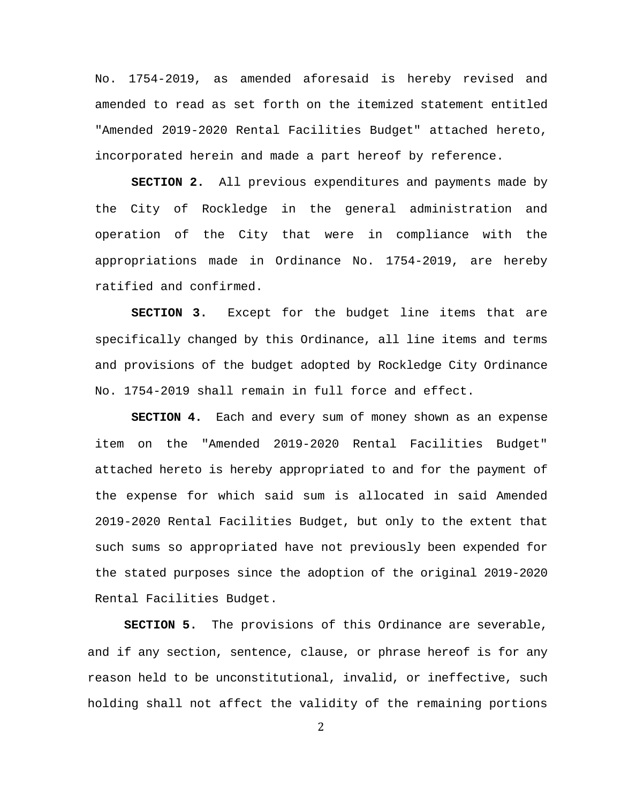No. 1754-2019, as amended aforesaid is hereby revised and amended to read as set forth on the itemized statement entitled "Amended 2019-2020 Rental Facilities Budget" attached hereto, incorporated herein and made a part hereof by reference.

**SECTION 2.** All previous expenditures and payments made by the City of Rockledge in the general administration and operation of the City that were in compliance with the appropriations made in Ordinance No. 1754-2019, are hereby ratified and confirmed.

**SECTION 3.** Except for the budget line items that are specifically changed by this Ordinance, all line items and terms and provisions of the budget adopted by Rockledge City Ordinance No. 1754-2019 shall remain in full force and effect.

**SECTION 4.** Each and every sum of money shown as an expense item on the "Amended 2019-2020 Rental Facilities Budget" attached hereto is hereby appropriated to and for the payment of the expense for which said sum is allocated in said Amended 2019-2020 Rental Facilities Budget, but only to the extent that such sums so appropriated have not previously been expended for the stated purposes since the adoption of the original 2019-2020 Rental Facilities Budget.

**SECTION 5.** The provisions of this Ordinance are severable, and if any section, sentence, clause, or phrase hereof is for any reason held to be unconstitutional, invalid, or ineffective, such holding shall not affect the validity of the remaining portions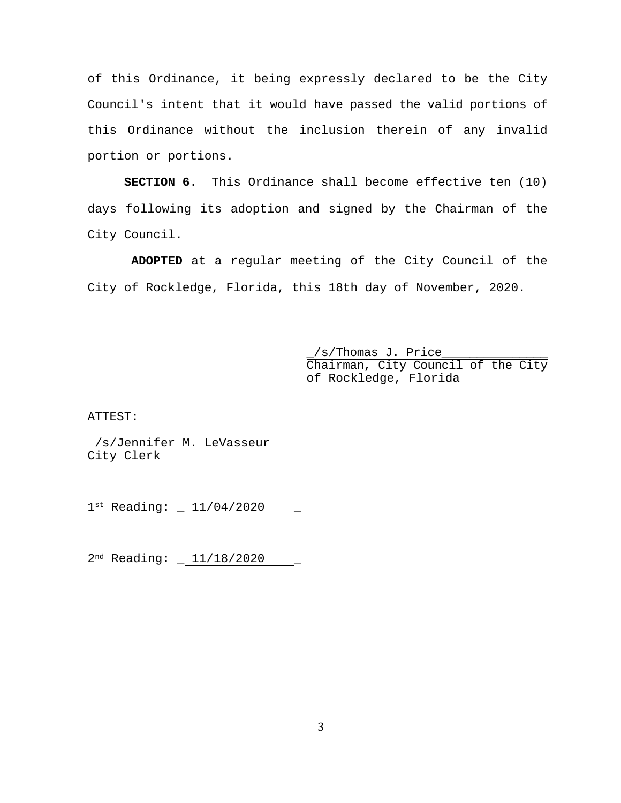of this Ordinance, it being expressly declared to be the City Council's intent that it would have passed the valid portions of this Ordinance without the inclusion therein of any invalid portion or portions.

**SECTION 6.** This Ordinance shall become effective ten (10) days following its adoption and signed by the Chairman of the City Council.

**ADOPTED** at a regular meeting of the City Council of the City of Rockledge, Florida, this 18th day of November, 2020.

> /s/Thomas J. Price\_ Chairman, City Council of the City of Rockledge, Florida

ATTEST:

/s/Jennifer M. LeVasseur City Clerk

 $1^{st}$  Reading:  $\_ 11/04/2020$ 

 $2<sup>nd</sup> Reading:  $= 11/18/2020$$